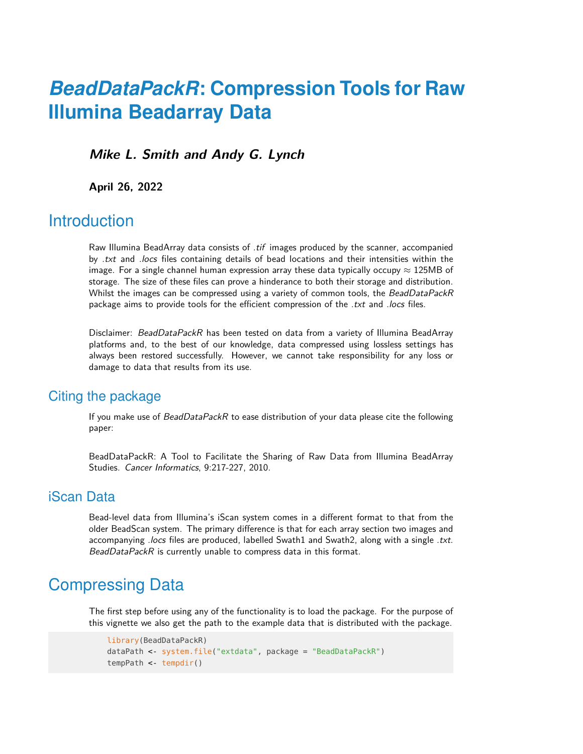# *BeadDataPackR***: Compression Tools for Raw Illumina Beadarray Data**

**Mike L. Smith and Andy G. Lynch**

**April 26, 2022**

## **Introduction**

Raw Illumina BeadArray data consists of .tif images produced by the scanner, accompanied by *txt* and *locs* files containing details of bead locations and their intensities within the image. For a single channel human expression array these data typically occupy  $\approx$  125MB of storage. The size of these files can prove a hinderance to both their storage and distribution. Whilst the images can be compressed using a variety of common tools, the BeadDataPackR package aims to provide tools for the efficient compression of the .txt and .locs files.

Disclaimer: BeadDataPackR has been tested on data from a variety of Illumina BeadArray platforms and, to the best of our knowledge, data compressed using lossless settings has always been restored successfully. However, we cannot take responsibility for any loss or damage to data that results from its use.

### Citing the package

If you make use of BeadDataPackR to ease distribution of your data please cite the following paper:

BeadDataPackR: A Tool to Facilitate the Sharing of Raw Data from Illumina BeadArray Studies. Cancer Informatics, 9:217-227, 2010.

### iScan Data

Bead-level data from Illumina's iScan system comes in a different format to that from the older BeadScan system. The primary difference is that for each array section two images and accompanying .locs files are produced, labelled Swath1 and Swath2, along with a single .txt. BeadDataPackR is currently unable to compress data in this format.

# Compressing Data

The first step before using any of the functionality is to load the package. For the purpose of this vignette we also get the path to the example data that is distributed with the package.

```
library(BeadDataPackR)
dataPath <- system.file("extdata", package = "BeadDataPackR")
tempPath <- tempdir()
```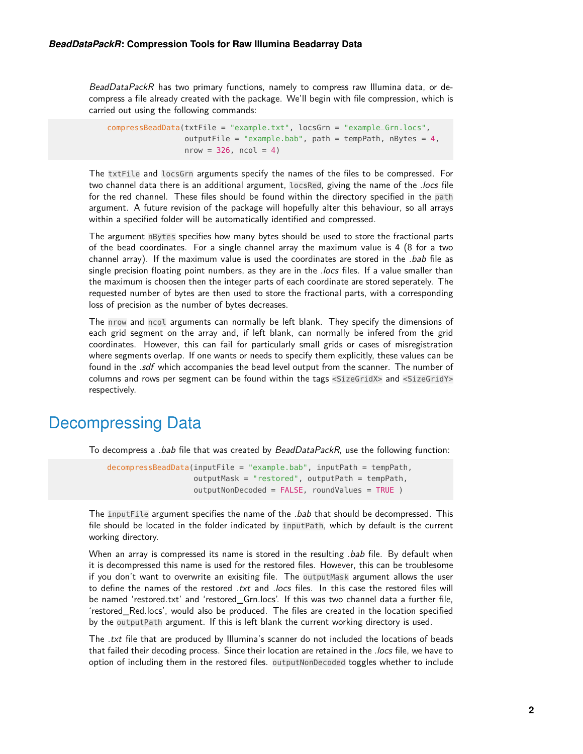BeadDataPackR has two primary functions, namely to compress raw Illumina data, or decompress a file already created with the package. We'll begin with file compression, which is carried out using the following commands:

```
compressBeadData(txtFile = "example.txt", locsGrn = "example_Grn.locs",
                 outputFile = "example.bab", path = tempPath, nBytes = 4,
                 nrow = 326, ncol = 4)
```
The txtFile and locsGrn arguments specify the names of the files to be compressed. For two channel data there is an additional argument, locsRed, giving the name of the .locs file for the red channel. These files should be found within the directory specified in the path argument. A future revision of the package will hopefully alter this behaviour, so all arrays within a specified folder will be automatically identified and compressed.

The argument nBytes specifies how many bytes should be used to store the fractional parts of the bead coordinates. For a single channel array the maximum value is 4 (8 for a two channel array). If the maximum value is used the coordinates are stored in the *bab* file as single precision floating point numbers, as they are in the *locs* files. If a value smaller than the maximum is choosen then the integer parts of each coordinate are stored seperately. The requested number of bytes are then used to store the fractional parts, with a corresponding loss of precision as the number of bytes decreases.

The nrow and ncol arguments can normally be left blank. They specify the dimensions of each grid segment on the array and, if left blank, can normally be infered from the grid coordinates. However, this can fail for particularly small grids or cases of misregistration where segments overlap. If one wants or needs to specify them explicitly, these values can be found in the .sdf which accompanies the bead level output from the scanner. The number of columns and rows per segment can be found within the tags <SizeGridX> and <SizeGridY> respectively.

### Decompressing Data

To decompress a *.bab* file that was created by BeadDataPackR, use the following function:

```
decompressBeadData(inputFile = "example.bab", inputPath = tempPath,
                   outputMask = "restored", outputPath = tempPath,
                   outputNonDecoded = FALSE, roundValues = TRUE )
```
The inputFile argument specifies the name of the *.bab* that should be decompressed. This file should be located in the folder indicated by inputPath, which by default is the current working directory.

When an array is compressed its name is stored in the resulting *.bab* file. By default when it is decompressed this name is used for the restored files. However, this can be troublesome if you don't want to overwrite an exisiting file. The outputMask argument allows the user to define the names of the restored .txt and .locs files. In this case the restored files will be named 'restored.txt' and 'restored\_Grn.locs'. If this was two channel data a further file, 'restored\_Red.locs', would also be produced. The files are created in the location specified by the outputPath argument. If this is left blank the current working directory is used.

The .txt file that are produced by Illumina's scanner do not included the locations of beads that failed their decoding process. Since their location are retained in the .locs file, we have to option of including them in the restored files. outputNonDecoded toggles whether to include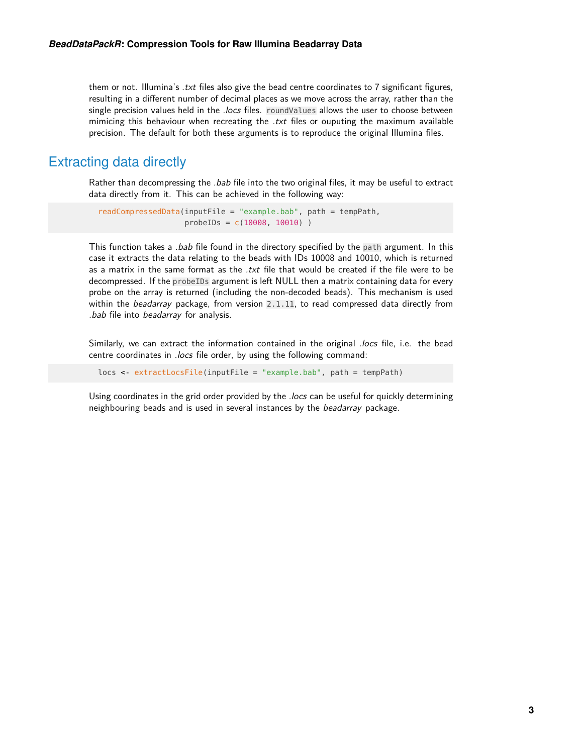them or not. Illumina's *txt* files also give the bead centre coordinates to 7 significant figures, resulting in a different number of decimal places as we move across the array, rather than the single precision values held in the *.locs* files. roundValues allows the user to choose between mimicing this behaviour when recreating the  $.txt$  files or ouputing the maximum available precision. The default for both these arguments is to reproduce the original Illumina files.

### Extracting data directly

Rather than decompressing the *.bab* file into the two original files, it may be useful to extract data directly from it. This can be achieved in the following way:

```
readCompressedData(inputFile = "example.bab", path = tempPath,
                   probeIDs = c(10008, 10010) )
```
This function takes a *.bab* file found in the directory specified by the path argument. In this case it extracts the data relating to the beads with IDs 10008 and 10010, which is returned as a matrix in the same format as the .txt file that would be created if the file were to be decompressed. If the probeIDs argument is left NULL then a matrix containing data for every probe on the array is returned (including the non-decoded beads). This mechanism is used within the beadarray package, from version 2.1.11, to read compressed data directly from .bab file into beadarray for analysis.

Similarly, we can extract the information contained in the original .locs file, i.e. the bead centre coordinates in .locs file order, by using the following command:

```
locs <- extractLocsFile(inputFile = "example.bab", path = tempPath)
```
Using coordinates in the grid order provided by the .locs can be useful for quickly determining neighbouring beads and is used in several instances by the beadarray package.